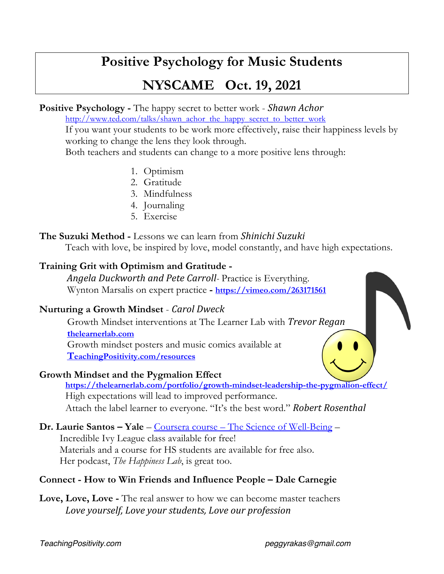# **Positive Psychology for Music Students**

# **NYSCAME Oct. 19, 2021**

**Positive Psychology -** The happy secret to better work - *Shawn Achor*

http://www.ted.com/talks/shawn\_achor\_the\_happy\_secret\_to\_better\_work

If you want your students to be work more effectively, raise their happiness levels by working to change the lens they look through.

Both teachers and students can change to a more positive lens through:

- 1. Optimism
- 2. Gratitude
- 3. Mindfulness
- 4. Journaling
- 5. Exercise

#### **The Suzuki Method -** Lessons we can learn from *Shinichi Suzuki*

Teach with love, be inspired by love, model constantly, and have high expectations.

### **Training Grit with Optimism and Gratitude -**

*Angela Duckworth and Pete Carroll-* Practice is Everything. Wynton Marsalis on expert practice **- https://vimeo.com/263171561**

### **Nurturing a Growth Mindset** - *Carol Dweck*

 Growth Mindset interventions at The Learner Lab with *Trevor Regan* **thelearnerlab.com** Growth mindset posters and music comics available at **TeachingPositivity.com/resources**

### **Growth Mindset and the Pygmalion Effect**

**https://thelearnerlab.com/portfolio/growth-mindset-leadership-the-pygmalion-effect/**  High expectations will lead to improved performance. Attach the label learner to everyone. "It's the best word." *Robert Rosenthal* 

### **Dr. Laurie Santos – Yale** – Coursera course – The Science of Well-Being –

 Incredible Ivy League class available for free! Materials and a course for HS students are available for free also. Her podcast, *The Happiness Lab*, is great too.

## **Connect - How to Win Friends and Influence People – Dale Carnegie**

**Love, Love, Love -** The real answer to how we can become master teachers Love yourself, Love your students, Love our profession